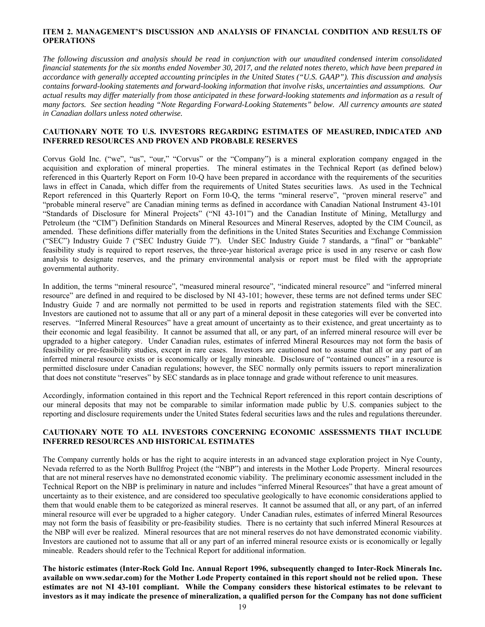### **ITEM 2. MANAGEMENT'S DISCUSSION AND ANALYSIS OF FINANCIAL CONDITION AND RESULTS OF OPERATIONS**

*The following discussion and analysis should be read in conjunction with our unaudited condensed interim consolidated financial statements for the six months ended November 30, 2017, and the related notes thereto, which have been prepared in accordance with generally accepted accounting principles in the United States ("U.S. GAAP"). This discussion and analysis contains forward-looking statements and forward-looking information that involve risks, uncertainties and assumptions. Our actual results may differ materially from those anticipated in these forward-looking statements and information as a result of many factors. See section heading "Note Regarding Forward-Looking Statements" below. All currency amounts are stated in Canadian dollars unless noted otherwise.* 

### **CAUTIONARY NOTE TO U.S. INVESTORS REGARDING ESTIMATES OF MEASURED, INDICATED AND INFERRED RESOURCES AND PROVEN AND PROBABLE RESERVES**

Corvus Gold Inc. ("we", "us", "our," "Corvus" or the "Company") is a mineral exploration company engaged in the acquisition and exploration of mineral properties. The mineral estimates in the Technical Report (as defined below) referenced in this Quarterly Report on Form 10-Q have been prepared in accordance with the requirements of the securities laws in effect in Canada, which differ from the requirements of United States securities laws. As used in the Technical Report referenced in this Quarterly Report on Form 10-Q, the terms "mineral reserve", "proven mineral reserve" and "probable mineral reserve" are Canadian mining terms as defined in accordance with Canadian National Instrument 43-101 "Standards of Disclosure for Mineral Projects" ("NI 43-101") and the Canadian Institute of Mining, Metallurgy and Petroleum (the "CIM") Definition Standards on Mineral Resources and Mineral Reserves, adopted by the CIM Council, as amended. These definitions differ materially from the definitions in the United States Securities and Exchange Commission ("SEC") Industry Guide 7 ("SEC Industry Guide 7"). Under SEC Industry Guide 7 standards, a "final" or "bankable" feasibility study is required to report reserves, the three-year historical average price is used in any reserve or cash flow analysis to designate reserves, and the primary environmental analysis or report must be filed with the appropriate governmental authority.

In addition, the terms "mineral resource", "measured mineral resource", "indicated mineral resource" and "inferred mineral resource" are defined in and required to be disclosed by NI 43-101; however, these terms are not defined terms under SEC Industry Guide 7 and are normally not permitted to be used in reports and registration statements filed with the SEC. Investors are cautioned not to assume that all or any part of a mineral deposit in these categories will ever be converted into reserves. "Inferred Mineral Resources" have a great amount of uncertainty as to their existence, and great uncertainty as to their economic and legal feasibility. It cannot be assumed that all, or any part, of an inferred mineral resource will ever be upgraded to a higher category. Under Canadian rules, estimates of inferred Mineral Resources may not form the basis of feasibility or pre-feasibility studies, except in rare cases. Investors are cautioned not to assume that all or any part of an inferred mineral resource exists or is economically or legally mineable. Disclosure of "contained ounces" in a resource is permitted disclosure under Canadian regulations; however, the SEC normally only permits issuers to report mineralization that does not constitute "reserves" by SEC standards as in place tonnage and grade without reference to unit measures.

Accordingly, information contained in this report and the Technical Report referenced in this report contain descriptions of our mineral deposits that may not be comparable to similar information made public by U.S. companies subject to the reporting and disclosure requirements under the United States federal securities laws and the rules and regulations thereunder.

# **CAUTIONARY NOTE TO ALL INVESTORS CONCERNING ECONOMIC ASSESSMENTS THAT INCLUDE INFERRED RESOURCES AND HISTORICAL ESTIMATES**

The Company currently holds or has the right to acquire interests in an advanced stage exploration project in Nye County, Nevada referred to as the North Bullfrog Project (the "NBP") and interests in the Mother Lode Property. Mineral resources that are not mineral reserves have no demonstrated economic viability. The preliminary economic assessment included in the Technical Report on the NBP is preliminary in nature and includes "inferred Mineral Resources" that have a great amount of uncertainty as to their existence, and are considered too speculative geologically to have economic considerations applied to them that would enable them to be categorized as mineral reserves. It cannot be assumed that all, or any part, of an inferred mineral resource will ever be upgraded to a higher category. Under Canadian rules, estimates of inferred Mineral Resources may not form the basis of feasibility or pre-feasibility studies. There is no certainty that such inferred Mineral Resources at the NBP will ever be realized. Mineral resources that are not mineral reserves do not have demonstrated economic viability. Investors are cautioned not to assume that all or any part of an inferred mineral resource exists or is economically or legally mineable. Readers should refer to the Technical Report for additional information.

**The historic estimates (Inter-Rock Gold Inc. Annual Report 1996, subsequently changed to Inter-Rock Minerals Inc. available on www.sedar.com) for the Mother Lode Property contained in this report should not be relied upon. These estimates are not NI 43-101 compliant. While the Company considers these historical estimates to be relevant to investors as it may indicate the presence of mineralization, a qualified person for the Company has not done sufficient**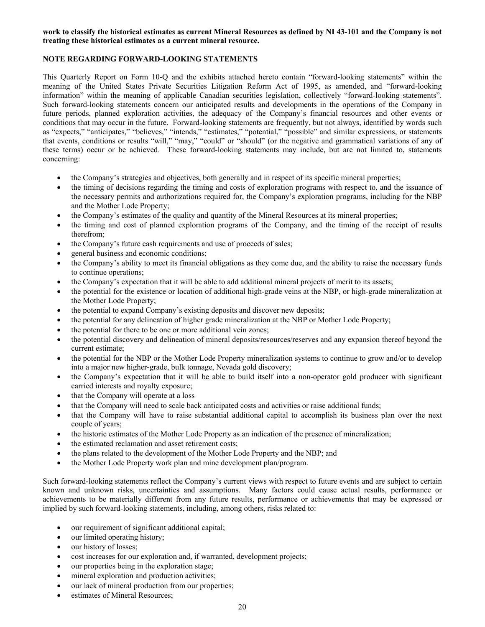### **work to classify the historical estimates as current Mineral Resources as defined by NI 43-101 and the Company is not treating these historical estimates as a current mineral resource.**

# **NOTE REGARDING FORWARD-LOOKING STATEMENTS**

This Quarterly Report on Form 10-Q and the exhibits attached hereto contain "forward-looking statements" within the meaning of the United States Private Securities Litigation Reform Act of 1995, as amended, and "forward-looking information" within the meaning of applicable Canadian securities legislation, collectively "forward-looking statements". Such forward-looking statements concern our anticipated results and developments in the operations of the Company in future periods, planned exploration activities, the adequacy of the Company's financial resources and other events or conditions that may occur in the future. Forward-looking statements are frequently, but not always, identified by words such as "expects," "anticipates," "believes," "intends," "estimates," "potential," "possible" and similar expressions, or statements that events, conditions or results "will," "may," "could" or "should" (or the negative and grammatical variations of any of these terms) occur or be achieved. These forward-looking statements may include, but are not limited to, statements concerning:

- the Company's strategies and objectives, both generally and in respect of its specific mineral properties;
- the timing of decisions regarding the timing and costs of exploration programs with respect to, and the issuance of the necessary permits and authorizations required for, the Company's exploration programs, including for the NBP and the Mother Lode Property;
- the Company's estimates of the quality and quantity of the Mineral Resources at its mineral properties;
- the timing and cost of planned exploration programs of the Company, and the timing of the receipt of results therefrom;
- the Company's future cash requirements and use of proceeds of sales;
- general business and economic conditions;
- the Company's ability to meet its financial obligations as they come due, and the ability to raise the necessary funds to continue operations;
- the Company's expectation that it will be able to add additional mineral projects of merit to its assets;
- the potential for the existence or location of additional high-grade veins at the NBP, or high-grade mineralization at the Mother Lode Property;
- the potential to expand Company's existing deposits and discover new deposits;
- the potential for any delineation of higher grade mineralization at the NBP or Mother Lode Property;
- the potential for there to be one or more additional vein zones;
- the potential discovery and delineation of mineral deposits/resources/reserves and any expansion thereof beyond the current estimate;
- the potential for the NBP or the Mother Lode Property mineralization systems to continue to grow and/or to develop into a major new higher-grade, bulk tonnage, Nevada gold discovery;
- the Company's expectation that it will be able to build itself into a non-operator gold producer with significant carried interests and royalty exposure;
- that the Company will operate at a loss
- that the Company will need to scale back anticipated costs and activities or raise additional funds;
- that the Company will have to raise substantial additional capital to accomplish its business plan over the next couple of years;
- the historic estimates of the Mother Lode Property as an indication of the presence of mineralization;
- the estimated reclamation and asset retirement costs;
- the plans related to the development of the Mother Lode Property and the NBP; and
- the Mother Lode Property work plan and mine development plan/program.

Such forward-looking statements reflect the Company's current views with respect to future events and are subject to certain known and unknown risks, uncertainties and assumptions. Many factors could cause actual results, performance or achievements to be materially different from any future results, performance or achievements that may be expressed or implied by such forward-looking statements, including, among others, risks related to:

- our requirement of significant additional capital;
- our limited operating history;
- our history of losses;
- cost increases for our exploration and, if warranted, development projects;
- our properties being in the exploration stage;
- mineral exploration and production activities;
- our lack of mineral production from our properties;
- estimates of Mineral Resources;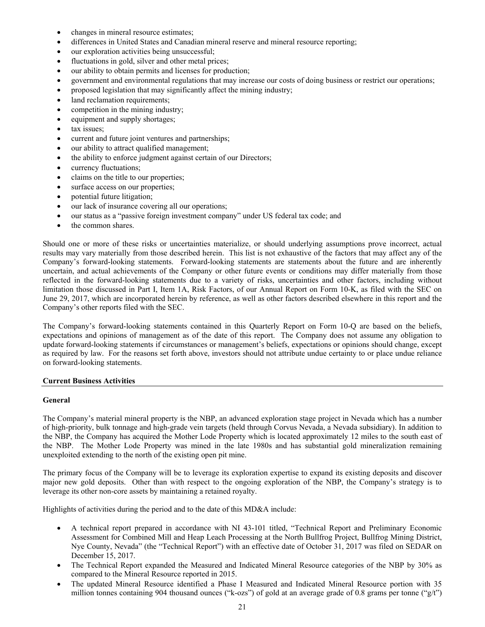- changes in mineral resource estimates;
- differences in United States and Canadian mineral reserve and mineral resource reporting;
- our exploration activities being unsuccessful;
- fluctuations in gold, silver and other metal prices;
- our ability to obtain permits and licenses for production;
- government and environmental regulations that may increase our costs of doing business or restrict our operations;
- proposed legislation that may significantly affect the mining industry;
- land reclamation requirements;
- competition in the mining industry;
- equipment and supply shortages;
- tax issues;
- current and future joint ventures and partnerships;
- our ability to attract qualified management;
- the ability to enforce judgment against certain of our Directors;
- currency fluctuations;
- claims on the title to our properties;
- surface access on our properties;
- potential future litigation;
- our lack of insurance covering all our operations;
- our status as a "passive foreign investment company" under US federal tax code; and
- the common shares.

Should one or more of these risks or uncertainties materialize, or should underlying assumptions prove incorrect, actual results may vary materially from those described herein. This list is not exhaustive of the factors that may affect any of the Company's forward-looking statements. Forward-looking statements are statements about the future and are inherently uncertain, and actual achievements of the Company or other future events or conditions may differ materially from those reflected in the forward-looking statements due to a variety of risks, uncertainties and other factors, including without limitation those discussed in Part I, Item 1A, Risk Factors, of our Annual Report on Form 10-K, as filed with the SEC on June 29, 2017, which are incorporated herein by reference, as well as other factors described elsewhere in this report and the Company's other reports filed with the SEC.

The Company's forward-looking statements contained in this Quarterly Report on Form 10-Q are based on the beliefs, expectations and opinions of management as of the date of this report. The Company does not assume any obligation to update forward-looking statements if circumstances or management's beliefs, expectations or opinions should change, except as required by law. For the reasons set forth above, investors should not attribute undue certainty to or place undue reliance on forward-looking statements.

#### **Current Business Activities**

#### **General**

The Company's material mineral property is the NBP, an advanced exploration stage project in Nevada which has a number of high-priority, bulk tonnage and high-grade vein targets (held through Corvus Nevada, a Nevada subsidiary). In addition to the NBP, the Company has acquired the Mother Lode Property which is located approximately 12 miles to the south east of the NBP. The Mother Lode Property was mined in the late 1980s and has substantial gold mineralization remaining unexploited extending to the north of the existing open pit mine.

The primary focus of the Company will be to leverage its exploration expertise to expand its existing deposits and discover major new gold deposits. Other than with respect to the ongoing exploration of the NBP, the Company's strategy is to leverage its other non-core assets by maintaining a retained royalty.

Highlights of activities during the period and to the date of this MD&A include:

- A technical report prepared in accordance with NI 43-101 titled, "Technical Report and Preliminary Economic Assessment for Combined Mill and Heap Leach Processing at the North Bullfrog Project, Bullfrog Mining District, Nye County, Nevada" (the "Technical Report") with an effective date of October 31, 2017 was filed on SEDAR on December 15, 2017.
- The Technical Report expanded the Measured and Indicated Mineral Resource categories of the NBP by 30% as compared to the Mineral Resource reported in 2015.
- The updated Mineral Resource identified a Phase I Measured and Indicated Mineral Resource portion with 35 million tonnes containing 904 thousand ounces ("k-ozs") of gold at an average grade of 0.8 grams per tonne ("g/t")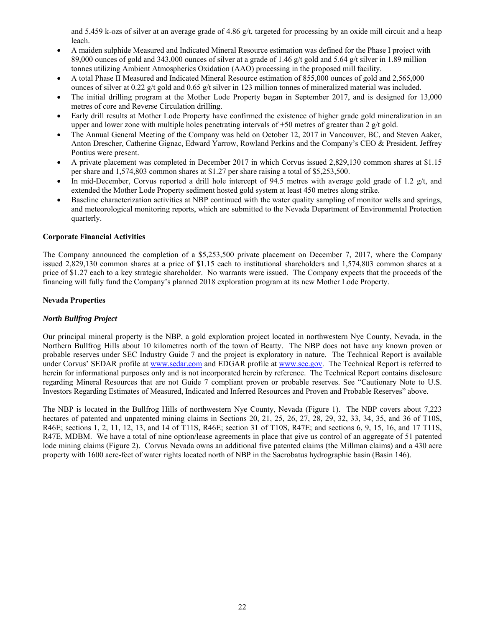and 5,459 k-ozs of silver at an average grade of 4.86 g/t, targeted for processing by an oxide mill circuit and a heap leach.

- A maiden sulphide Measured and Indicated Mineral Resource estimation was defined for the Phase I project with 89,000 ounces of gold and 343,000 ounces of silver at a grade of 1.46 g/t gold and 5.64 g/t silver in 1.89 million tonnes utilizing Ambient Atmospherics Oxidation (AAO) processing in the proposed mill facility.
- A total Phase II Measured and Indicated Mineral Resource estimation of 855,000 ounces of gold and 2,565,000 ounces of silver at 0.22 g/t gold and 0.65 g/t silver in 123 million tonnes of mineralized material was included.
- The initial drilling program at the Mother Lode Property began in September 2017, and is designed for 13,000 metres of core and Reverse Circulation drilling.
- Early drill results at Mother Lode Property have confirmed the existence of higher grade gold mineralization in an upper and lower zone with multiple holes penetrating intervals of  $+50$  metres of greater than 2 g/t gold.
- The Annual General Meeting of the Company was held on October 12, 2017 in Vancouver, BC, and Steven Aaker, Anton Drescher, Catherine Gignac, Edward Yarrow, Rowland Perkins and the Company's CEO & President, Jeffrey Pontius were present.
- A private placement was completed in December 2017 in which Corvus issued 2,829,130 common shares at \$1.15 per share and 1,574,803 common shares at \$1.27 per share raising a total of \$5,253,500.
- In mid-December, Corvus reported a drill hole intercept of 94.5 metres with average gold grade of 1.2 g/t, and extended the Mother Lode Property sediment hosted gold system at least 450 metres along strike.
- Baseline characterization activities at NBP continued with the water quality sampling of monitor wells and springs, and meteorological monitoring reports, which are submitted to the Nevada Department of Environmental Protection quarterly.

### **Corporate Financial Activities**

The Company announced the completion of a \$5,253,500 private placement on December 7, 2017, where the Company issued 2,829,130 common shares at a price of \$1.15 each to institutional shareholders and 1,574,803 common shares at a price of \$1.27 each to a key strategic shareholder. No warrants were issued. The Company expects that the proceeds of the financing will fully fund the Company's planned 2018 exploration program at its new Mother Lode Property.

### **Nevada Properties**

# *North Bullfrog Project*

Our principal mineral property is the NBP, a gold exploration project located in northwestern Nye County, Nevada, in the Northern Bullfrog Hills about 10 kilometres north of the town of Beatty. The NBP does not have any known proven or probable reserves under SEC Industry Guide 7 and the project is exploratory in nature. The Technical Report is available under Corvus' SEDAR profile at www.sedar.com and EDGAR profile at www.sec.gov. The Technical Report is referred to herein for informational purposes only and is not incorporated herein by reference. The Technical Report contains disclosure regarding Mineral Resources that are not Guide 7 compliant proven or probable reserves. See "Cautionary Note to U.S. Investors Regarding Estimates of Measured, Indicated and Inferred Resources and Proven and Probable Reserves" above.

The NBP is located in the Bullfrog Hills of northwestern Nye County, Nevada (Figure 1). The NBP covers about 7,223 hectares of patented and unpatented mining claims in Sections 20, 21, 25, 26, 27, 28, 29, 32, 33, 34, 35, and 36 of T10S, R46E; sections 1, 2, 11, 12, 13, and 14 of T11S, R46E; section 31 of T10S, R47E; and sections 6, 9, 15, 16, and 17 T11S, R47E, MDBM. We have a total of nine option/lease agreements in place that give us control of an aggregate of 51 patented lode mining claims (Figure 2). Corvus Nevada owns an additional five patented claims (the Millman claims) and a 430 acre property with 1600 acre-feet of water rights located north of NBP in the Sacrobatus hydrographic basin (Basin 146).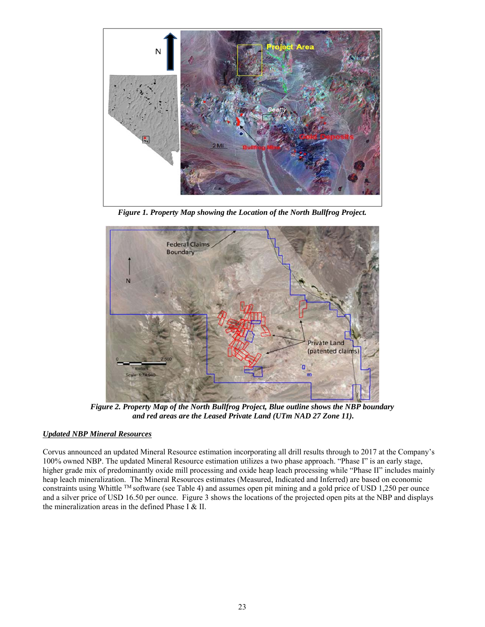

*Figure 1. Property Map showing the Location of the North Bullfrog Project.* 



*Figure 2. Property Map of the North Bullfrog Project, Blue outline shows the NBP boundary and red areas are the Leased Private Land (UTm NAD 27 Zone 11).* 

# *Updated NBP Mineral Resources*

Corvus announced an updated Mineral Resource estimation incorporating all drill results through to 2017 at the Company's 100% owned NBP. The updated Mineral Resource estimation utilizes a two phase approach. "Phase I" is an early stage, higher grade mix of predominantly oxide mill processing and oxide heap leach processing while "Phase II" includes mainly heap leach mineralization. The Mineral Resources estimates (Measured, Indicated and Inferred) are based on economic constraints using Whittle TM software (see Table 4) and assumes open pit mining and a gold price of USD 1,250 per ounce and a silver price of USD 16.50 per ounce. Figure 3 shows the locations of the projected open pits at the NBP and displays the mineralization areas in the defined Phase I & II.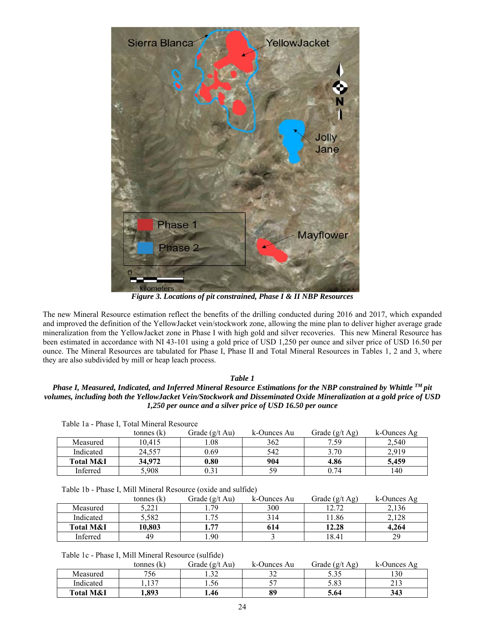

*Figure 3. Locations of pit constrained, Phase I & II NBP Resources* 

The new Mineral Resource estimation reflect the benefits of the drilling conducted during 2016 and 2017, which expanded and improved the definition of the YellowJacket vein/stockwork zone, allowing the mine plan to deliver higher average grade mineralization from the YellowJacket zone in Phase I with high gold and silver recoveries. This new Mineral Resource has been estimated in accordance with NI 43-101 using a gold price of USD 1,250 per ounce and silver price of USD 16.50 per ounce. The Mineral Resources are tabulated for Phase I, Phase II and Total Mineral Resources in Tables 1, 2 and 3, where they are also subdivided by mill or heap leach process.

#### *Table 1*

# *Phase I, Measured, Indicated, and Inferred Mineral Resource Estimations for the NBP constrained by Whittle TM pit volumes, including both the YellowJacket Vein/Stockwork and Disseminated Oxide Mineralization at a gold price of USD 1,250 per ounce and a silver price of USD 16.50 per ounce*

|                      | TWOTE THE THROUGH TORM INTHERIBLE TECTORIES<br>tonnes $(k)$ | Grade (g/t Au) | k-Ounces Au | Grade $(g/t Ag)$ | k-Ounces Ag |
|----------------------|-------------------------------------------------------------|----------------|-------------|------------------|-------------|
| Measured             | 10.415                                                      | 0.08           | 362         | 7.59             | 2,540       |
| Indicated            | 24.557                                                      | 0.69           | 542         | 3.70             | 2,919       |
| <b>Total M&amp;I</b> | 34.972                                                      | 0.80           | 904         | 4.86             | 5.459       |
| Inferred             | 5,908                                                       | 0.3            | 59          | 0.74             | 140         |

Table 1a - Phase I, Total Mineral Resource

Table 1b - Phase I, Mill Mineral Resource (oxide and sulfide)

|                      | tonnes $(k)$ | Grade (g/t Au) | k-Ounces Au | Grade (g/t Ag) | k-Ounces Ag |
|----------------------|--------------|----------------|-------------|----------------|-------------|
| Measured             | 5.221        | 79             | 300         | L 4, I 4       | 2.136       |
| Indicated            | 5.582        | 75             | 314         | 1.86           | 2,128       |
| <b>Total M&amp;I</b> | 10.803       | .77            | 614         | 12.28          | 4.264       |
| Inferred             | 49           | . 90           |             | 18.41          | 29          |

#### Table 1c - Phase I, Mill Mineral Resource (sulfide)

|                      | $t$ onnes $(k)$ | Grade $(g/t \text{ Au})$ | k-Ounces Au   | Grade $(g/t Ag)$ | k-Ounces $A\varrho$ |
|----------------------|-----------------|--------------------------|---------------|------------------|---------------------|
| Measured             | 756             | $\mathcal{D}$            | $\mathcal{L}$ | 5.35             | 130                 |
| Indicated            | 1.137           | 1.56                     |               | 5.83             | <u>າາ</u><br>ل 1 ک  |
| <b>Total M&amp;I</b> | .893            | 1.46                     | 89            | 5.64             | 343                 |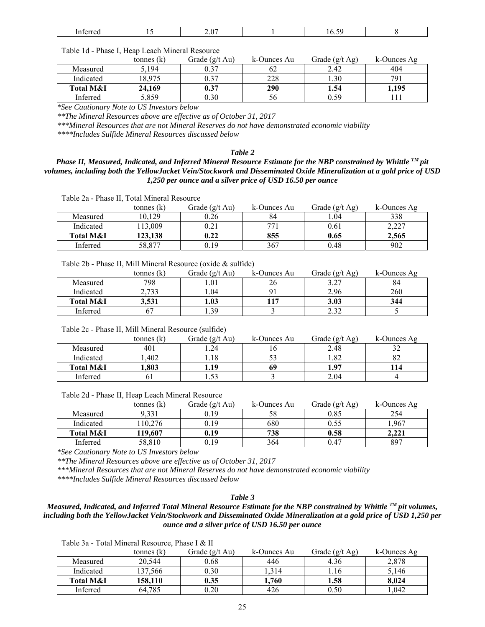| __ |  |
|----|--|
|----|--|

|                      | tonnes $(k)$ | Grade (g/t Au) | k-Ounces Au | Grade (g/t Ag) | k-Ounces Ag |
|----------------------|--------------|----------------|-------------|----------------|-------------|
| Measured             | 5.194        | 0.37           | 62          | 2.42           | 404         |
| Indicated            | 18.975       | 0.37           | 228         | 1.30           | 791         |
| <b>Total M&amp;I</b> | 24,169       | 0.37           | 290         | 1.54           | 1.195       |
| Inferred             | 5,859        | 0.30           | 56          | 0.59           |             |

Table 1d - Phase I, Heap Leach Mineral Resource

*\*See Cautionary Note to US Investors below* 

*\*\*The Mineral Resources above are effective as of October 31, 2017*

*\*\*\*Mineral Resources that are not Mineral Reserves do not have demonstrated economic viability* 

*\*\*\*\*Includes Sulfide Mineral Resources discussed below* 

#### *Table 2*

# *Phase II, Measured, Indicated, and Inferred Mineral Resource Estimate for the NBP constrained by Whittle TM pit volumes, including both the YellowJacket Vein/Stockwork and Disseminated Oxide Mineralization at a gold price of USD 1,250 per ounce and a silver price of USD 16.50 per ounce*

Table 2a - Phase II, Total Mineral Resource

|                      | tonnes $(k)$ | Grade (g/t Au) | k-Ounces Au | Grade $(g/t Ag)$ | $k$ -Ounces Ag |
|----------------------|--------------|----------------|-------------|------------------|----------------|
| Measured             | 10.129       | 0.26           | 84          | .04              | 338            |
| Indicated            | 13.009       | $0.21\,$       |             | 0.61             | 2,227          |
| <b>Total M&amp;I</b> | 123.138      | 0.22           | 855         | 0.65             | 2.565          |
| Inferred             | 58,877       | 0.19           | 367         | 0.48             | 902            |

Table 2b - Phase II, Mill Mineral Resource (oxide & sulfide)

|                      | tonnes $(k)$ | Grade (g/t Au) | k-Ounces Au | Grade (g/t Ag) | k-Ounces Ag |
|----------------------|--------------|----------------|-------------|----------------|-------------|
| Measured             | 798          | 1.01           |             | 2 77<br>ے .    | 84          |
| Indicated            | 2,733        | 0.04           |             | 2.96           | 260         |
| <b>Total M&amp;I</b> | 3.531        | 1.03           | 17          | 3.03           | 344         |
| Inferred             |              | 1.39           |             | າ າາ<br>ے د.ء  |             |

#### Table 2c - Phase II, Mill Mineral Resource (sulfide)

|                      | tonnes $(k)$ | Grade (g/t Au) | k-Ounces Au | Grade (g/t Ag) | k-Ounces Ag   |
|----------------------|--------------|----------------|-------------|----------------|---------------|
| Measured             | 401          | . .24          |             | 2.48           |               |
| Indicated            | .402         | 1.10           |             | l.82           | $\circ$<br>oΖ |
| <b>Total M&amp;I</b> | .803         | 4.19           | 69          | 1.97           | '14           |
| Inferred             | 61           |                |             | 2.04           |               |

Table 2d - Phase II, Heap Leach Mineral Resource

|                      | tonnes $(k)$ | Grade (g/t Au) | k-Ounces Au | Grade (g/t Ag) | k-Ounces Ag |
|----------------------|--------------|----------------|-------------|----------------|-------------|
| Measured             | 9.331        | 0.19           |             | 0.85           | 254         |
| Indicated            | 10.276       | 0.19           | 680         | 0.55           | .967        |
| <b>Total M&amp;I</b> | 19.607       | 0.19           | 738         | 0.58           | 2.221       |
| Inferred             | 58,810       | 0.19           | 364         | 0.47           | 897         |

*\*See Cautionary Note to US Investors below* 

*\*\*The Mineral Resources above are effective as of October 31, 2017*

*\*\*\*Mineral Resources that are not Mineral Reserves do not have demonstrated economic viability* 

*\*\*\*\*Includes Sulfide Mineral Resources discussed below* 

*Table 3*

*Measured, Indicated, and Inferred Total Mineral Resource Estimate for the NBP constrained by Whittle TM pit volumes, including both the YellowJacket Vein/Stockwork and Disseminated Oxide Mineralization at a gold price of USD 1,250 per ounce and a silver price of USD 16.50 per ounce* 

Table 3a - Total Mineral Resource, Phase I & II

|                      | tonnes $(k)$ | Grade (g/t Au) | k-Ounces Au | Grade (g/t Ag) | $k$ -Ounces Ag |
|----------------------|--------------|----------------|-------------|----------------|----------------|
| Measured             | 20.544       | 0.68           | 446         | 4.36           | 2.878          |
| Indicated            | 137,566      | 0.30           | .314        | 1.16           | 5.146          |
| <b>Total M&amp;I</b> | 158.110      | 0.35           | .760        | l.58           | 8.024          |
| Inferred             | 64.785       | 0.20           | 426         | 0.50           | 1.042          |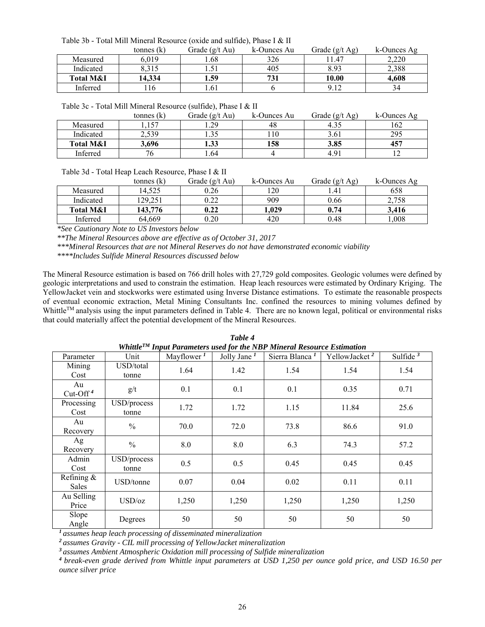Table 3b - Total Mill Mineral Resource (oxide and sulfide), Phase I & II

|           | tonnes $(k)$ | Grade (g/t Au) | .<br>k-Ounces Au | Grade (g/t Ag) | k-Ounces Ag |
|-----------|--------------|----------------|------------------|----------------|-------------|
| Measured  | 6.019        | .68            | 326              | 1.47           | 2.220       |
| Indicated | 8.315        |                | 405              | 8.93           | 2,388       |
| Total M&I | 14.334       | 1.59           | 731              | 10.00          | 4.608       |
| Inferred  | .16          | l .61          |                  | 9.12           | 34          |

Table 3c - Total Mill Mineral Resource (sulfide), Phase I & II

|           | tonnes $(k)$ | Grade (g/t Au) | k-Ounces Au | Grade (g/t Ag) | k-Ounces Ag |
|-----------|--------------|----------------|-------------|----------------|-------------|
| Measured  | .157         | . .29          |             | 4.35           | 162         |
| Indicated | 2.539        |                | 10          | 3.61           | 295         |
| Total M&I | 3.696        | 1.33           | 158         | 3.85           | 457         |
| Inferred  |              | . .64          |             | 4.91           |             |

Table 3d - Total Heap Leach Resource, Phase I & II

|           | tonnes $(k)$ | Grade (g/t Au) | k-Ounces Au | Grade (g/t Ag) | k-Ounces Ag |
|-----------|--------------|----------------|-------------|----------------|-------------|
| Measured  | 4.525        | 0.26           | 120         | .41            | 658         |
| Indicated | 129.251      | 0.22           | 909         | 0.66           | 2.758       |
| Total M&I | 143,776      | 0.22           | .029        | 0.74           | 3.416       |
| Inferred  | 64,669       | 0.20           | 420         | 0.48           | ,008        |

*\*See Cautionary Note to US Investors below* 

*\*\*The Mineral Resources above are effective as of October 31, 2017*

*\*\*\*Mineral Resources that are not Mineral Reserves do not have demonstrated economic viability* 

*\*\*\*\*Includes Sulfide Mineral Resources discussed below* 

The Mineral Resource estimation is based on 766 drill holes with 27,729 gold composites. Geologic volumes were defined by geologic interpretations and used to constrain the estimation. Heap leach resources were estimated by Ordinary Kriging. The YellowJacket vein and stockworks were estimated using Inverse Distance estimations. To estimate the reasonable prospects of eventual economic extraction, Metal Mining Consultants Inc. confined the resources to mining volumes defined by Whittle<sup>TM</sup> analysis using the input parameters defined in Table 4. There are no known legal, political or environmental risks that could materially affect the potential development of the Mineral Resources.

| Whittle <sup>rm</sup> Input Parameters usea for the NBP Mineral Resource Estimation |                      |                        |                |                            |                           |             |  |
|-------------------------------------------------------------------------------------|----------------------|------------------------|----------------|----------------------------|---------------------------|-------------|--|
| Parameter                                                                           | Unit                 | Mayflower <sup>1</sup> | Jolly Jane $1$ | Sierra Blanca <sup>1</sup> | YellowJacket <sup>2</sup> | Sulfide $3$ |  |
| Mining<br>Cost                                                                      | USD/total<br>tonne   | 1.64                   | 1.42           | 1.54                       | 1.54                      | 1.54        |  |
| Au<br>Cut-Off $4$                                                                   | g/t                  | 0.1                    | 0.1            | 0.1                        | 0.35                      | 0.71        |  |
| Processing<br>Cost                                                                  | USD/process<br>tonne | 1.72                   | 1.72           | 1.15                       | 11.84                     | 25.6        |  |
| Au<br>Recovery                                                                      | $\%$                 | 70.0                   | 72.0           | 73.8                       | 86.6                      | 91.0        |  |
| Ag<br>Recovery                                                                      | $\frac{0}{0}$        | 8.0                    | 8.0            | 6.3                        | 74.3                      | 57.2        |  |
| Admin<br>Cost                                                                       | USD/process<br>tonne | 0.5                    | 0.5            | 0.45                       | 0.45                      | 0.45        |  |
| Refining &<br><b>Sales</b>                                                          | USD/tonne            | 0.07                   | 0.04           | 0.02                       | 0.11                      | 0.11        |  |
| Au Selling<br>Price                                                                 | USD/oz               | 1,250                  | 1,250          | 1,250                      | 1,250                     | 1,250       |  |
| Slope<br>Angle                                                                      | Degrees              | 50                     | 50             | 50                         | 50                        | 50          |  |

*Table 4*<br>*d for the NRP M WhittleTM Input Parameters used for the NBP Mineral Resource Estimation*

*<sup>1</sup>assumes heap leach processing of disseminated mineralization* 

*<sup>2</sup> assumes Gravity - CIL mill processing of YellowJacket mineralization* 

*<sup>3</sup>assumes Ambient Atmospheric Oxidation mill processing of Sulfide mineralization* 

*<sup>4</sup> break-even grade derived from Whittle input parameters at USD 1,250 per ounce gold price, and USD 16.50 per ounce silver price*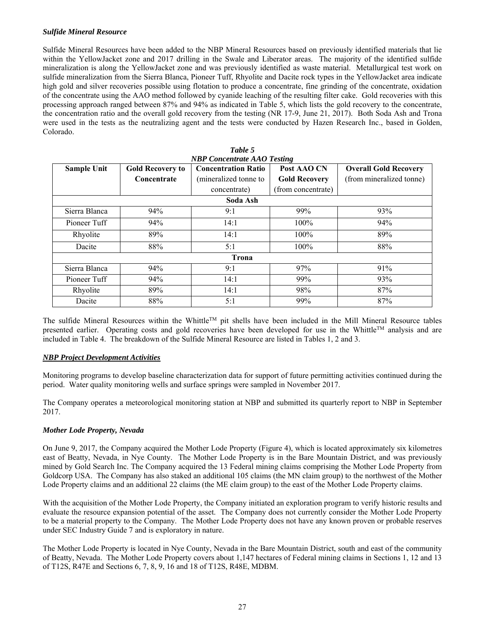### *Sulfide Mineral Resource*

Sulfide Mineral Resources have been added to the NBP Mineral Resources based on previously identified materials that lie within the YellowJacket zone and 2017 drilling in the Swale and Liberator areas. The majority of the identified sulfide mineralization is along the YellowJacket zone and was previously identified as waste material. Metallurgical test work on sulfide mineralization from the Sierra Blanca, Pioneer Tuff, Rhyolite and Dacite rock types in the YellowJacket area indicate high gold and silver recoveries possible using flotation to produce a concentrate, fine grinding of the concentrate, oxidation of the concentrate using the AAO method followed by cyanide leaching of the resulting filter cake. Gold recoveries with this processing approach ranged between 87% and 94% as indicated in Table 5, which lists the gold recovery to the concentrate, the concentration ratio and the overall gold recovery from the testing (NR 17-9, June 21, 2017). Both Soda Ash and Trona were used in the tests as the neutralizing agent and the tests were conducted by Hazen Research Inc., based in Golden, Colorado.

| <b>Sample Unit</b> | <b>Gold Recovery to</b> | <b>Concentration Ratio</b> | Post AAO CN          | <b>Overall Gold Recovery</b> |  |
|--------------------|-------------------------|----------------------------|----------------------|------------------------------|--|
|                    | Concentrate             | (mineralized tonne to      | <b>Gold Recovery</b> | (from mineralized tonne)     |  |
|                    |                         | concentrate)               | (from concentrate)   |                              |  |
| Soda Ash           |                         |                            |                      |                              |  |
| Sierra Blanca      | 94%                     | 9:1                        | 99%                  | 93%                          |  |
| Pioneer Tuff       | 94%                     | 14:1                       | 100%                 | 94%                          |  |
| Rhyolite           | 89%                     | 14:1                       | 100%                 | 89%                          |  |
| Dacite             | 88%                     | 5:1                        | 100%                 | 88%                          |  |
| Trona              |                         |                            |                      |                              |  |
| Sierra Blanca      | 94%                     | 9:1                        | 97%                  | 91%                          |  |
| Pioneer Tuff       | 94%                     | 14:1                       | 99%                  | 93%                          |  |
| Rhyolite           | 89%                     | 14:1                       | 98%                  | 87%                          |  |
| Dacite             | 88%                     | 5:1                        | 99%                  | 87%                          |  |

| Table 5                            |  |
|------------------------------------|--|
| <b>NBP Concentrate AAO Testing</b> |  |
|                                    |  |

The sulfide Mineral Resources within the Whittle<sup>TM</sup> pit shells have been included in the Mill Mineral Resource tables presented earlier. Operating costs and gold recoveries have been developed for use in the WhittleTM analysis and are included in Table 4. The breakdown of the Sulfide Mineral Resource are listed in Tables 1, 2 and 3.

# *NBP Project Development Activities*

Monitoring programs to develop baseline characterization data for support of future permitting activities continued during the period. Water quality monitoring wells and surface springs were sampled in November 2017.

The Company operates a meteorological monitoring station at NBP and submitted its quarterly report to NBP in September 2017.

# *Mother Lode Property, Nevada*

On June 9, 2017, the Company acquired the Mother Lode Property (Figure 4), which is located approximately six kilometres east of Beatty, Nevada, in Nye County. The Mother Lode Property is in the Bare Mountain District, and was previously mined by Gold Search Inc. The Company acquired the 13 Federal mining claims comprising the Mother Lode Property from Goldcorp USA. The Company has also staked an additional 105 claims (the MN claim group) to the northwest of the Mother Lode Property claims and an additional 22 claims (the ME claim group) to the east of the Mother Lode Property claims.

With the acquisition of the Mother Lode Property, the Company initiated an exploration program to verify historic results and evaluate the resource expansion potential of the asset. The Company does not currently consider the Mother Lode Property to be a material property to the Company. The Mother Lode Property does not have any known proven or probable reserves under SEC Industry Guide 7 and is exploratory in nature.

The Mother Lode Property is located in Nye County, Nevada in the Bare Mountain District, south and east of the community of Beatty, Nevada. The Mother Lode Property covers about 1,147 hectares of Federal mining claims in Sections 1, 12 and 13 of T12S, R47E and Sections 6, 7, 8, 9, 16 and 18 of T12S, R48E, MDBM.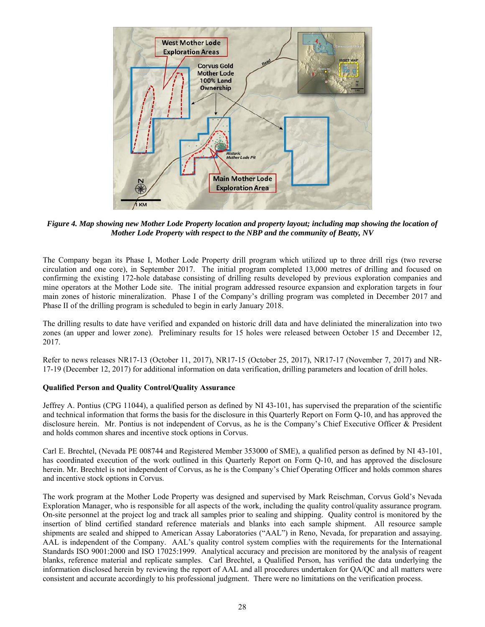

*Figure 4. Map showing new Mother Lode Property location and property layout; including map showing the location of Mother Lode Property with respect to the NBP and the community of Beatty, NV* 

The Company began its Phase I, Mother Lode Property drill program which utilized up to three drill rigs (two reverse circulation and one core), in September 2017. The initial program completed 13,000 metres of drilling and focused on confirming the existing 172-hole database consisting of drilling results developed by previous exploration companies and mine operators at the Mother Lode site. The initial program addressed resource expansion and exploration targets in four main zones of historic mineralization. Phase I of the Company's drilling program was completed in December 2017 and Phase II of the drilling program is scheduled to begin in early January 2018.

The drilling results to date have verified and expanded on historic drill data and have deliniated the mineralization into two zones (an upper and lower zone). Preliminary results for 15 holes were released between October 15 and December 12, 2017.

Refer to news releases NR17-13 (October 11, 2017), NR17-15 (October 25, 2017), NR17-17 (November 7, 2017) and NR-17-19 (December 12, 2017) for additional information on data verification, drilling parameters and location of drill holes.

# **Qualified Person and Quality Control/Quality Assurance**

Jeffrey A. Pontius (CPG 11044), a qualified person as defined by NI 43-101, has supervised the preparation of the scientific and technical information that forms the basis for the disclosure in this Quarterly Report on Form Q-10, and has approved the disclosure herein. Mr. Pontius is not independent of Corvus, as he is the Company's Chief Executive Officer & President and holds common shares and incentive stock options in Corvus.

Carl E. Brechtel, (Nevada PE 008744 and Registered Member 353000 of SME), a qualified person as defined by NI 43-101, has coordinated execution of the work outlined in this Quarterly Report on Form Q-10, and has approved the disclosure herein. Mr. Brechtel is not independent of Corvus, as he is the Company's Chief Operating Officer and holds common shares and incentive stock options in Corvus.

The work program at the Mother Lode Property was designed and supervised by Mark Reischman, Corvus Gold's Nevada Exploration Manager, who is responsible for all aspects of the work, including the quality control/quality assurance program. On-site personnel at the project log and track all samples prior to sealing and shipping. Quality control is monitored by the insertion of blind certified standard reference materials and blanks into each sample shipment. All resource sample shipments are sealed and shipped to American Assay Laboratories ("AAL") in Reno, Nevada, for preparation and assaying. AAL is independent of the Company. AAL's quality control system complies with the requirements for the International Standards ISO 9001:2000 and ISO 17025:1999. Analytical accuracy and precision are monitored by the analysis of reagent blanks, reference material and replicate samples. Carl Brechtel, a Qualified Person, has verified the data underlying the information disclosed herein by reviewing the report of AAL and all procedures undertaken for QA/QC and all matters were consistent and accurate accordingly to his professional judgment. There were no limitations on the verification process.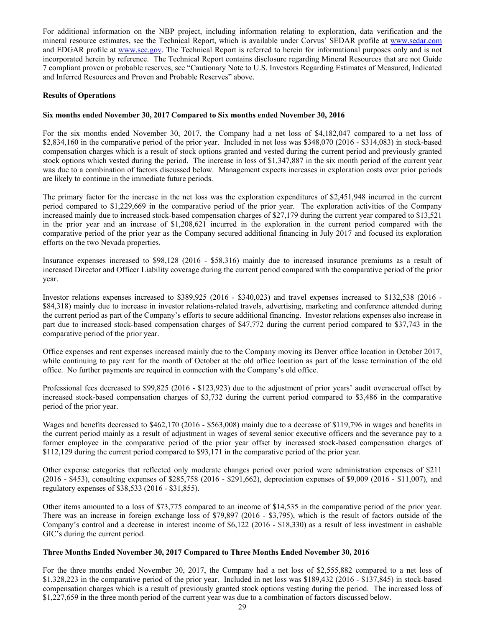For additional information on the NBP project, including information relating to exploration, data verification and the mineral resource estimates, see the Technical Report, which is available under Corvus' SEDAR profile at www.sedar.com and EDGAR profile at www.sec.gov. The Technical Report is referred to herein for informational purposes only and is not incorporated herein by reference. The Technical Report contains disclosure regarding Mineral Resources that are not Guide 7 compliant proven or probable reserves, see "Cautionary Note to U.S. Investors Regarding Estimates of Measured, Indicated and Inferred Resources and Proven and Probable Reserves" above.

### **Results of Operations**

#### **Six months ended November 30, 2017 Compared to Six months ended November 30, 2016**

For the six months ended November 30, 2017, the Company had a net loss of \$4,182,047 compared to a net loss of \$2,834,160 in the comparative period of the prior year. Included in net loss was \$348,070 (2016 - \$314,083) in stock-based compensation charges which is a result of stock options granted and vested during the current period and previously granted stock options which vested during the period. The increase in loss of \$1,347,887 in the six month period of the current year was due to a combination of factors discussed below. Management expects increases in exploration costs over prior periods are likely to continue in the immediate future periods.

The primary factor for the increase in the net loss was the exploration expenditures of \$2,451,948 incurred in the current period compared to \$1,229,669 in the comparative period of the prior year. The exploration activities of the Company increased mainly due to increased stock-based compensation charges of \$27,179 during the current year compared to \$13,521 in the prior year and an increase of \$1,208,621 incurred in the exploration in the current period compared with the comparative period of the prior year as the Company secured additional financing in July 2017 and focused its exploration efforts on the two Nevada properties.

Insurance expenses increased to \$98,128 (2016 - \$58,316) mainly due to increased insurance premiums as a result of increased Director and Officer Liability coverage during the current period compared with the comparative period of the prior year.

Investor relations expenses increased to \$389,925 (2016 - \$340,023) and travel expenses increased to \$132,538 (2016 - \$84,318) mainly due to increase in investor relations-related travels, advertising, marketing and conference attended during the current period as part of the Company's efforts to secure additional financing. Investor relations expenses also increase in part due to increased stock-based compensation charges of \$47,772 during the current period compared to \$37,743 in the comparative period of the prior year.

Office expenses and rent expenses increased mainly due to the Company moving its Denver office location in October 2017, while continuing to pay rent for the month of October at the old office location as part of the lease termination of the old office. No further payments are required in connection with the Company's old office.

Professional fees decreased to \$99,825 (2016 - \$123,923) due to the adjustment of prior years' audit overaccrual offset by increased stock-based compensation charges of \$3,732 during the current period compared to \$3,486 in the comparative period of the prior year.

Wages and benefits decreased to \$462,170 (2016 - \$563,008) mainly due to a decrease of \$119,796 in wages and benefits in the current period mainly as a result of adjustment in wages of several senior executive officers and the severance pay to a former employee in the comparative period of the prior year offset by increased stock-based compensation charges of \$112,129 during the current period compared to \$93,171 in the comparative period of the prior year.

Other expense categories that reflected only moderate changes period over period were administration expenses of \$211 (2016 - \$453), consulting expenses of \$285,758 (2016 - \$291,662), depreciation expenses of \$9,009 (2016 - \$11,007), and regulatory expenses of \$38,533 (2016 - \$31,855).

Other items amounted to a loss of \$73,775 compared to an income of \$14,535 in the comparative period of the prior year. There was an increase in foreign exchange loss of \$79,897 (2016 - \$3,795), which is the result of factors outside of the Company's control and a decrease in interest income of \$6,122 (2016 - \$18,330) as a result of less investment in cashable GIC's during the current period.

#### **Three Months Ended November 30, 2017 Compared to Three Months Ended November 30, 2016**

For the three months ended November 30, 2017, the Company had a net loss of \$2,555,882 compared to a net loss of \$1,328,223 in the comparative period of the prior year. Included in net loss was \$189,432 (2016 - \$137,845) in stock-based compensation charges which is a result of previously granted stock options vesting during the period. The increased loss of \$1,227,659 in the three month period of the current year was due to a combination of factors discussed below.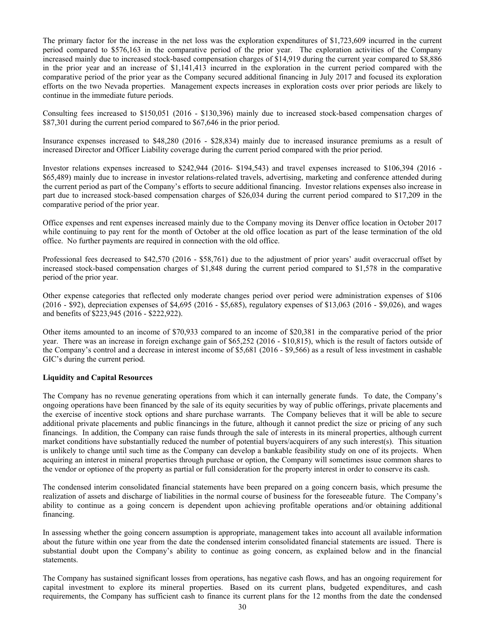The primary factor for the increase in the net loss was the exploration expenditures of \$1,723,609 incurred in the current period compared to \$576,163 in the comparative period of the prior year. The exploration activities of the Company increased mainly due to increased stock-based compensation charges of \$14,919 during the current year compared to \$8,886 in the prior year and an increase of \$1,141,413 incurred in the exploration in the current period compared with the comparative period of the prior year as the Company secured additional financing in July 2017 and focused its exploration efforts on the two Nevada properties. Management expects increases in exploration costs over prior periods are likely to continue in the immediate future periods.

Consulting fees increased to \$150,051 (2016 - \$130,396) mainly due to increased stock-based compensation charges of \$87,301 during the current period compared to \$67,646 in the prior period.

Insurance expenses increased to \$48,280 (2016 - \$28,834) mainly due to increased insurance premiums as a result of increased Director and Officer Liability coverage during the current period compared with the prior period.

Investor relations expenses increased to \$242,944 (2016- \$194,543) and travel expenses increased to \$106,394 (2016 - \$65,489) mainly due to increase in investor relations-related travels, advertising, marketing and conference attended during the current period as part of the Company's efforts to secure additional financing. Investor relations expenses also increase in part due to increased stock-based compensation charges of \$26,034 during the current period compared to \$17,209 in the comparative period of the prior year.

Office expenses and rent expenses increased mainly due to the Company moving its Denver office location in October 2017 while continuing to pay rent for the month of October at the old office location as part of the lease termination of the old office. No further payments are required in connection with the old office.

Professional fees decreased to \$42,570 (2016 - \$58,761) due to the adjustment of prior years' audit overaccrual offset by increased stock-based compensation charges of \$1,848 during the current period compared to \$1,578 in the comparative period of the prior year.

Other expense categories that reflected only moderate changes period over period were administration expenses of \$106 (2016 - \$92), depreciation expenses of \$4,695 (2016 - \$5,685), regulatory expenses of \$13,063 (2016 - \$9,026), and wages and benefits of \$223,945 (2016 - \$222,922).

Other items amounted to an income of \$70,933 compared to an income of \$20,381 in the comparative period of the prior year. There was an increase in foreign exchange gain of \$65,252 (2016 - \$10,815), which is the result of factors outside of the Company's control and a decrease in interest income of \$5,681 (2016 - \$9,566) as a result of less investment in cashable GIC's during the current period.

# **Liquidity and Capital Resources**

The Company has no revenue generating operations from which it can internally generate funds. To date, the Company's ongoing operations have been financed by the sale of its equity securities by way of public offerings, private placements and the exercise of incentive stock options and share purchase warrants. The Company believes that it will be able to secure additional private placements and public financings in the future, although it cannot predict the size or pricing of any such financings. In addition, the Company can raise funds through the sale of interests in its mineral properties, although current market conditions have substantially reduced the number of potential buyers/acquirers of any such interest(s). This situation is unlikely to change until such time as the Company can develop a bankable feasibility study on one of its projects. When acquiring an interest in mineral properties through purchase or option, the Company will sometimes issue common shares to the vendor or optionee of the property as partial or full consideration for the property interest in order to conserve its cash.

The condensed interim consolidated financial statements have been prepared on a going concern basis, which presume the realization of assets and discharge of liabilities in the normal course of business for the foreseeable future. The Company's ability to continue as a going concern is dependent upon achieving profitable operations and/or obtaining additional financing.

In assessing whether the going concern assumption is appropriate, management takes into account all available information about the future within one year from the date the condensed interim consolidated financial statements are issued. There is substantial doubt upon the Company's ability to continue as going concern, as explained below and in the financial statements.

The Company has sustained significant losses from operations, has negative cash flows, and has an ongoing requirement for capital investment to explore its mineral properties. Based on its current plans, budgeted expenditures, and cash requirements, the Company has sufficient cash to finance its current plans for the 12 months from the date the condensed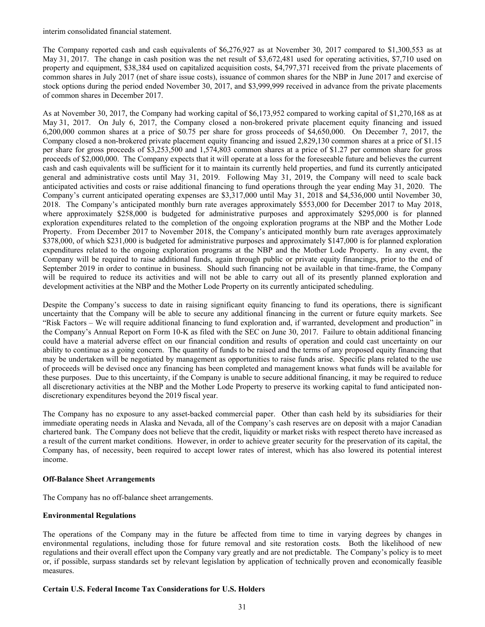interim consolidated financial statement.

The Company reported cash and cash equivalents of \$6,276,927 as at November 30, 2017 compared to \$1,300,553 as at May 31, 2017. The change in cash position was the net result of \$3,672,481 used for operating activities, \$7,710 used on property and equipment, \$38,384 used on capitalized acquisition costs, \$4,797,371 received from the private placements of common shares in July 2017 (net of share issue costs), issuance of common shares for the NBP in June 2017 and exercise of stock options during the period ended November 30, 2017, and \$3,999,999 received in advance from the private placements of common shares in December 2017.

As at November 30, 2017, the Company had working capital of \$6,173,952 compared to working capital of \$1,270,168 as at May 31, 2017. On July 6, 2017, the Company closed a non-brokered private placement equity financing and issued 6,200,000 common shares at a price of \$0.75 per share for gross proceeds of \$4,650,000. On December 7, 2017, the Company closed a non-brokered private placement equity financing and issued 2,829,130 common shares at a price of \$1.15 per share for gross proceeds of \$3,253,500 and 1,574,803 common shares at a price of \$1.27 per common share for gross proceeds of \$2,000,000. The Company expects that it will operate at a loss for the foreseeable future and believes the current cash and cash equivalents will be sufficient for it to maintain its currently held properties, and fund its currently anticipated general and administrative costs until May 31, 2019. Following May 31, 2019, the Company will need to scale back anticipated activities and costs or raise additional financing to fund operations through the year ending May 31, 2020. The Company's current anticipated operating expenses are \$3,317,000 until May 31, 2018 and \$4,536,000 until November 30, 2018. The Company's anticipated monthly burn rate averages approximately \$553,000 for December 2017 to May 2018, where approximately \$258,000 is budgeted for administrative purposes and approximately \$295,000 is for planned exploration expenditures related to the completion of the ongoing exploration programs at the NBP and the Mother Lode Property. From December 2017 to November 2018, the Company's anticipated monthly burn rate averages approximately \$378,000, of which \$231,000 is budgeted for administrative purposes and approximately \$147,000 is for planned exploration expenditures related to the ongoing exploration programs at the NBP and the Mother Lode Property. In any event, the Company will be required to raise additional funds, again through public or private equity financings, prior to the end of September 2019 in order to continue in business. Should such financing not be available in that time-frame, the Company will be required to reduce its activities and will not be able to carry out all of its presently planned exploration and development activities at the NBP and the Mother Lode Property on its currently anticipated scheduling.

Despite the Company's success to date in raising significant equity financing to fund its operations, there is significant uncertainty that the Company will be able to secure any additional financing in the current or future equity markets. See "Risk Factors – We will require additional financing to fund exploration and, if warranted, development and production" in the Company's Annual Report on Form 10-K as filed with the SEC on June 30, 2017. Failure to obtain additional financing could have a material adverse effect on our financial condition and results of operation and could cast uncertainty on our ability to continue as a going concern. The quantity of funds to be raised and the terms of any proposed equity financing that may be undertaken will be negotiated by management as opportunities to raise funds arise. Specific plans related to the use of proceeds will be devised once any financing has been completed and management knows what funds will be available for these purposes. Due to this uncertainty, if the Company is unable to secure additional financing, it may be required to reduce all discretionary activities at the NBP and the Mother Lode Property to preserve its working capital to fund anticipated nondiscretionary expenditures beyond the 2019 fiscal year.

The Company has no exposure to any asset-backed commercial paper. Other than cash held by its subsidiaries for their immediate operating needs in Alaska and Nevada, all of the Company's cash reserves are on deposit with a major Canadian chartered bank. The Company does not believe that the credit, liquidity or market risks with respect thereto have increased as a result of the current market conditions. However, in order to achieve greater security for the preservation of its capital, the Company has, of necessity, been required to accept lower rates of interest, which has also lowered its potential interest income.

# **Off-Balance Sheet Arrangements**

The Company has no off-balance sheet arrangements.

# **Environmental Regulations**

The operations of the Company may in the future be affected from time to time in varying degrees by changes in environmental regulations, including those for future removal and site restoration costs. Both the likelihood of new regulations and their overall effect upon the Company vary greatly and are not predictable. The Company's policy is to meet or, if possible, surpass standards set by relevant legislation by application of technically proven and economically feasible measures.

#### **Certain U.S. Federal Income Tax Considerations for U.S. Holders**